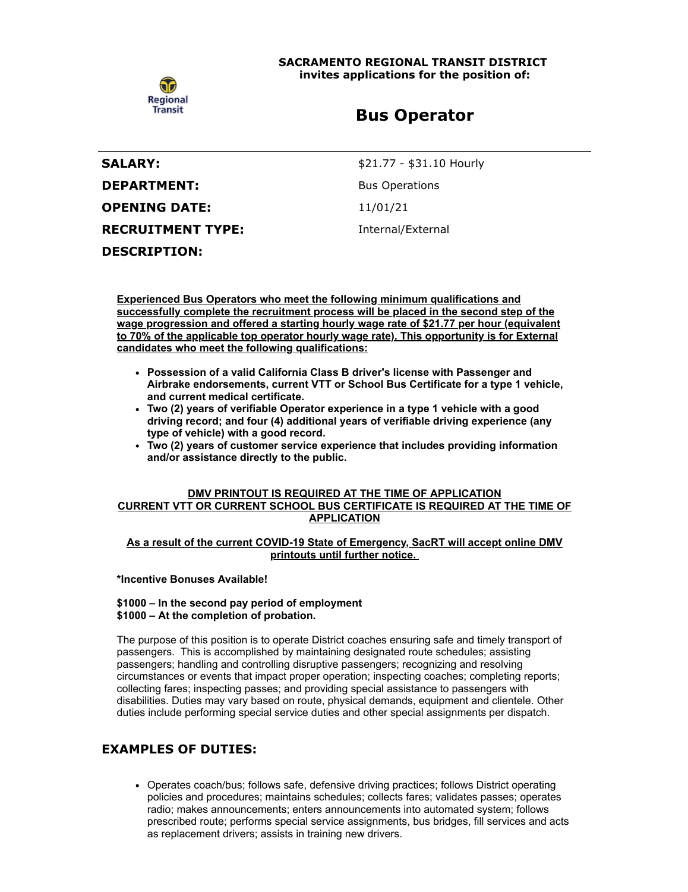

**SACRAMENTO REGIONAL TRANSIT DISTRICT invites applications for the position of:**

# **Bus Operator**

| <b>SALARY:</b>           |  |
|--------------------------|--|
| <b>DEPARTMENT:</b>       |  |
| OPENING DATE:            |  |
| <b>RECRUITMENT TYPE:</b> |  |
| <b>DESCRIPTION:</b>      |  |

**SALARY:** \$21.77 - \$31.10 Hourly **Bus Operations OPENING DATE:** 11/01/21

**Internal/External** 

**Experienced Bus Operators who meet the following minimum qualifications and successfully complete the recruitment process will be placed in the second step of the wage progression and offered a starting hourly wage rate of \$21.77 per hour (equivalent to 70% of the applicable top operator hourly wage rate). This opportunity is for External candidates who meet the following qualifications:**

- **Possession of a valid California Class B driver's license with Passenger and Airbrake endorsements, current VTT or School Bus Certificate for a type 1 vehicle, and current medical certificate.**
- **Two (2) years of verifiable Operator experience in a type 1 vehicle with a good driving record; and four (4) additional years of verifiable driving experience (any type of vehicle) with a good record.**
- **Two (2) years of customer service experience that includes providing information and/or assistance directly to the public.**

#### **DMV PRINTOUT IS REQUIRED AT THE TIME OF APPLICATION CURRENT VTT OR CURRENT SCHOOL BUS CERTIFICATE IS REQUIRED AT THE TIME OF APPLICATION**

### **As a result of the current COVID-19 State of Emergency, SacRT will accept online DMV printouts until further notice.**

**\*Incentive Bonuses Available!**

### **\$1000 – In the second pay period of employment \$1000 – At the completion of probation.**

The purpose of this position is to operate District coaches ensuring safe and timely transport of passengers. This is accomplished by maintaining designated route schedules; assisting passengers; handling and controlling disruptive passengers; recognizing and resolving circumstances or events that impact proper operation; inspecting coaches; completing reports; collecting fares; inspecting passes; and providing special assistance to passengers with disabilities. Duties may vary based on route, physical demands, equipment and clientele. Other duties include performing special service duties and other special assignments per dispatch.

# **EXAMPLES OF DUTIES:**

Operates coach/bus; follows safe, defensive driving practices; follows District operating policies and procedures; maintains schedules; collects fares; validates passes; operates radio; makes announcements; enters announcements into automated system; follows prescribed route; performs special service assignments, bus bridges, fill services and acts as replacement drivers; assists in training new drivers.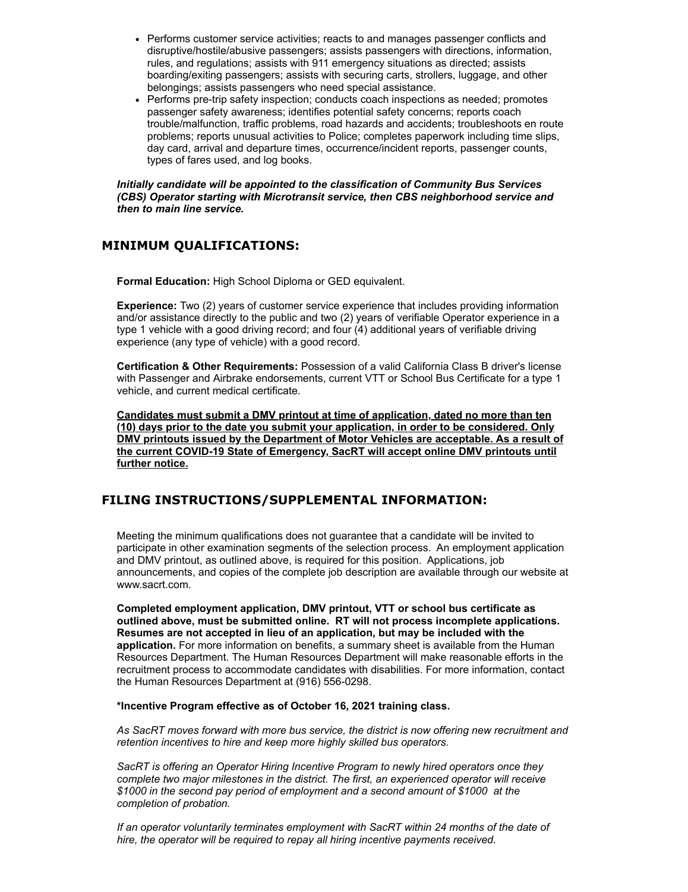- Performs customer service activities; reacts to and manages passenger conflicts and disruptive/hostile/abusive passengers; assists passengers with directions, information, rules, and regulations; assists with 911 emergency situations as directed; assists boarding/exiting passengers; assists with securing carts, strollers, luggage, and other belongings; assists passengers who need special assistance.
- Performs pre-trip safety inspection; conducts coach inspections as needed; promotes passenger safety awareness; identifies potential safety concerns; reports coach trouble/malfunction, traffic problems, road hazards and accidents; troubleshoots en route problems; reports unusual activities to Police; completes paperwork including time slips, day card, arrival and departure times, occurrence/incident reports, passenger counts, types of fares used, and log books.

*Initially candidate will be appointed to the classification of Community Bus Services (CBS) Operator starting with Microtransit service, then CBS neighborhood service and then to main line service.*

### **MINIMUM QUALIFICATIONS:**

**Formal Education:** High School Diploma or GED equivalent.

**Experience:** Two (2) years of customer service experience that includes providing information and/or assistance directly to the public and two (2) years of verifiable Operator experience in a type 1 vehicle with a good driving record; and four (4) additional years of verifiable driving experience (any type of vehicle) with a good record.

**Certification & Other Requirements:** Possession of a valid California Class B driver's license with Passenger and Airbrake endorsements, current VTT or School Bus Certificate for a type 1 vehicle, and current medical certificate.

**Candidates must submit a DMV printout at time of application, dated no more than ten (10) days prior to the date you submit your application, in order to be considered. Only DMV printouts issued by the Department of Motor Vehicles are acceptable. As a result of the current COVID-19 State of Emergency, SacRT will accept online DMV printouts until further notice.**

## **FILING INSTRUCTIONS/SUPPLEMENTAL INFORMATION:**

Meeting the minimum qualifications does not guarantee that a candidate will be invited to participate in other examination segments of the selection process. An employment application and DMV printout, as outlined above, is required for this position. Applications, job announcements, and copies of the complete job description are available through our website at www.sacrt.com.

**Completed employment application, DMV printout, VTT or school bus certificate as outlined above, must be submitted online. RT will not process incomplete applications. Resumes are not accepted in lieu of an application, but may be included with the application.** For more information on benefits, a summary sheet is available from the Human Resources Department. The Human Resources Department will make reasonable efforts in the recruitment process to accommodate candidates with disabilities. For more information, contact the Human Resources Department at (916) 556-0298.

**\*Incentive Program effective as of October 16, 2021 training class.**

*As SacRT moves forward with more bus service, the district is now offering new recruitment and retention incentives to hire and keep more highly skilled bus operators.*

*SacRT is offering an Operator Hiring Incentive Program to newly hired operators once they complete two major milestones in the district. The first, an experienced operator will receive \$1000 in the second pay period of employment and a second amount of \$1000 at the completion of probation.*

*If an operator voluntarily terminates employment with SacRT within 24 months of the date of hire, the operator will be required to repay all hiring incentive payments received.*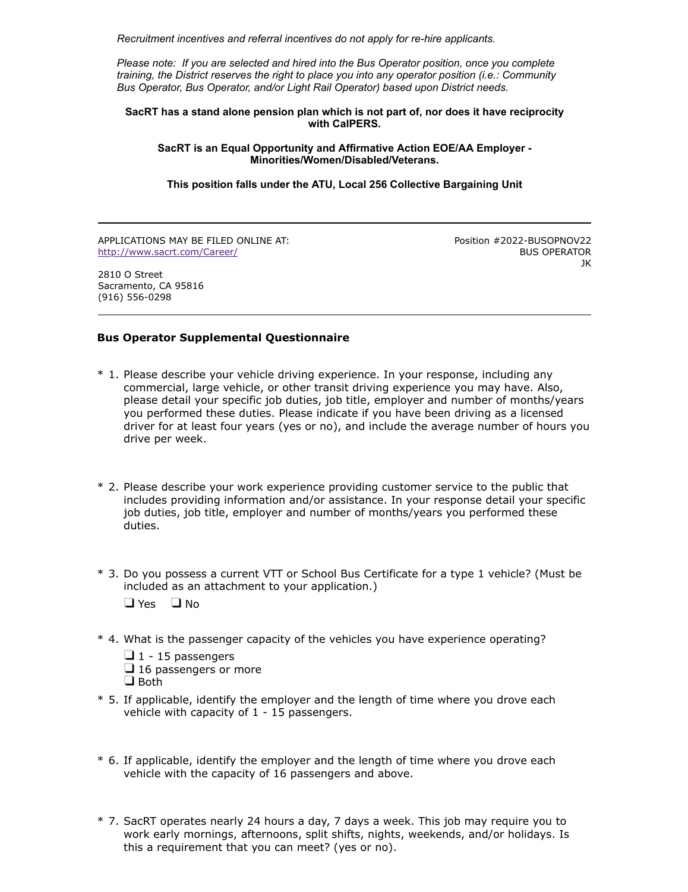*Recruitment incentives and referral incentives do not apply for re-hire applicants.*

*Please note: If you are selected and hired into the Bus Operator position, once you complete training, the District reserves the right to place you into any operator position (i.e.: Community Bus Operator, Bus Operator, and/or Light Rail Operator) based upon District needs.*

#### **SacRT has a stand alone pension plan which is not part of, nor does it have reciprocity with CalPERS.**

**SacRT is an Equal Opportunity and Affirmative Action EOE/AA Employer - Minorities/Women/Disabled/Veterans.**

**This position falls under the ATU, Local 256 Collective Bargaining Unit**

APPLICATIONS MAY BE FILED ONLINE AT: <http://www.sacrt.com/Career/>

Position #2022-BUSOPNOV22 BUS OPERATOR JK

2810 O Street Sacramento, CA 95816 (916) 556-0298

### **Bus Operator Supplemental Questionnaire**

- \* 1. Please describe your vehicle driving experience. In your response, including any commercial, large vehicle, or other transit driving experience you may have. Also, please detail your specific job duties, job title, employer and number of months/years you performed these duties. Please indicate if you have been driving as a licensed driver for at least four years (yes or no), and include the average number of hours you drive per week.
- \* 2. Please describe your work experience providing customer service to the public that includes providing information and/or assistance. In your response detail your specific job duties, job title, employer and number of months/years you performed these duties.
- \* 3. Do you possess a current VTT or School Bus Certificate for a type 1 vehicle? (Must be included as an attachment to your application.)

 $\Box$  Yes  $\Box$  No

\* 4. What is the passenger capacity of the vehicles you have experience operating?

 $\Box$  1 - 15 passengers  $\Box$  16 passengers or more  $\Box$  Both

- \* 5. If applicable, identify the employer and the length of time where you drove each vehicle with capacity of 1 - 15 passengers.
- \* 6. If applicable, identify the employer and the length of time where you drove each vehicle with the capacity of 16 passengers and above.
- \* 7. SacRT operates nearly 24 hours a day, 7 days a week. This job may require you to work early mornings, afternoons, split shifts, nights, weekends, and/or holidays. Is this a requirement that you can meet? (yes or no).